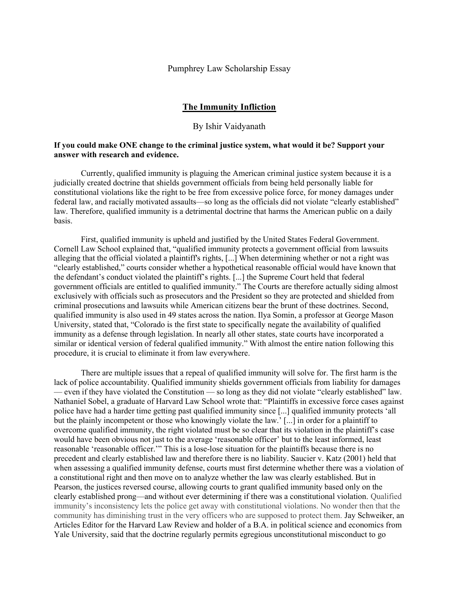Pumphrey Law Scholarship Essay

## The Immunity Infliction

## By Ishir Vaidyanath

## If you could make ONE change to the criminal justice system, what would it be? Support your answer with research and evidence.

Currently, qualified immunity is plaguing the American criminal justice system because it is a judicially created doctrine that shields government officials from being held personally liable for constitutional violations like the right to be free from excessive police force, for money damages under federal law, and racially motivated assaults—so long as the officials did not violate "clearly established" law. Therefore, qualified immunity is a detrimental doctrine that harms the American public on a daily basis.

First, qualified immunity is upheld and justified by the United States Federal Government. Cornell Law School explained that, "qualified immunity protects a government official from lawsuits alleging that the official violated a plaintiff's rights, [...] When determining whether or not a right was "clearly established," courts consider whether a hypothetical reasonable official would have known that the defendant's conduct violated the plaintiff's rights. [...] the Supreme Court held that federal government officials are entitled to qualified immunity." The Courts are therefore actually siding almost exclusively with officials such as prosecutors and the President so they are protected and shielded from criminal prosecutions and lawsuits while American citizens bear the brunt of these doctrines. Second, qualified immunity is also used in 49 states across the nation. Ilya Somin, a professor at George Mason University, stated that, "Colorado is the first state to specifically negate the availability of qualified immunity as a defense through legislation. In nearly all other states, state courts have incorporated a similar or identical version of federal qualified immunity." With almost the entire nation following this procedure, it is crucial to eliminate it from law everywhere.

There are multiple issues that a repeal of qualified immunity will solve for. The first harm is the lack of police accountability. Qualified immunity shields government officials from liability for damages — even if they have violated the Constitution — so long as they did not violate "clearly established" law. Nathaniel Sobel, a graduate of Harvard Law School wrote that: "Plaintiffs in excessive force cases against police have had a harder time getting past qualified immunity since [...] qualified immunity protects 'all but the plainly incompetent or those who knowingly violate the law.' [...] in order for a plaintiff to overcome qualified immunity, the right violated must be so clear that its violation in the plaintiff's case would have been obvious not just to the average 'reasonable officer' but to the least informed, least reasonable 'reasonable officer.'" This is a lose-lose situation for the plaintiffs because there is no precedent and clearly established law and therefore there is no liability. Saucier v. Katz (2001) held that when assessing a qualified immunity defense, courts must first determine whether there was a violation of a constitutional right and then move on to analyze whether the law was clearly established. But in Pearson, the justices reversed course, allowing courts to grant qualified immunity based only on the clearly established prong—and without ever determining if there was a constitutional violation. Qualified immunity's inconsistency lets the police get away with constitutional violations. No wonder then that the community has diminishing trust in the very officers who are supposed to protect them. Jay Schweiker, an Articles Editor for the Harvard Law Review and holder of a B.A. in political science and economics from Yale University, said that the doctrine regularly permits egregious unconstitutional misconduct to go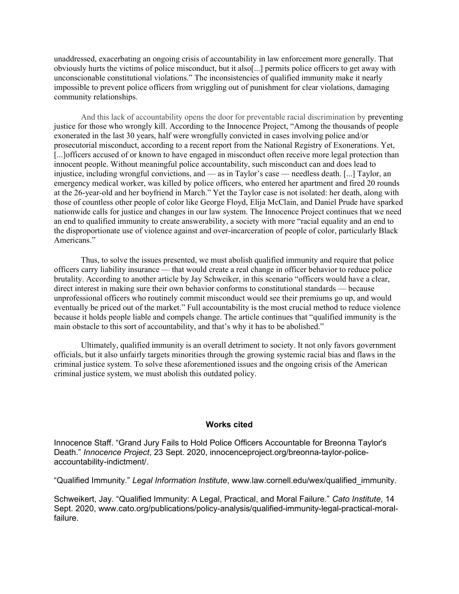unaddressed, exacerbating an ongoing crisis of accountability in law enforcement more generally. That obviously hurts the victims of police misconduct, but it also[...] permits police officers to get away with unconscionable constitutional violations." The inconsistencies of qualified immunity make it nearly impossible to prevent police officers from wriggling out of punishment for clear violations, damaging community relationships.

And this lack of accountability opens the door for preventable racial discrimination by preventing justice for those who wrongly kill. According to the Innocence Project, "Among the thousands of people exonerated in the last 30 years, half were wrongfully convicted in cases involving police and/or prosecutorial misconduct, according to a recent report from the National Registry of Exonerations. Yet, [...]officers accused of or known to have engaged in misconduct often receive more legal protection than innocent people. Without meaningful police accountability, such misconduct can and does lead to injustice, including wrongful convictions, and — as in Taylor's case — needless death. [...] Taylor, an emergency medical worker, was killed by police officers, who entered her apartment and fired 20 rounds at the 26-year-old and her boyfriend in March." Yet the Taylor case is not isolated: her death, along with those of countless other people of color like George Floyd, Elija McClain, and Daniel Prude have sparked nationwide calls for justice and changes in our law system. The Innocence Project continues that we need an end to qualified immunity to create answerability, a society with more "racial equality and an end to the disproportionate use of violence against and over-incarceration of people of color, particularly Black Americans."

Thus, to solve the issues presented, we must abolish qualified immunity and require that police officers carry liability insurance — that would create a real change in officer behavior to reduce police brutality. According to another article by Jay Schweiker, in this scenario "officers would have a clear, direct interest in making sure their own behavior conforms to constitutional standards — because unprofessional officers who routinely commit misconduct would see their premiums go up, and would eventually be priced out of the market." Full accountability is the most crucial method to reduce violence because it holds people liable and compels change. The article continues that "qualified immunity is the main obstacle to this sort of accountability, and that's why it has to be abolished."

Ultimately, qualified immunity is an overall detriment to society. It not only favors government officials, but it also unfairly targets minorities through the growing systemic racial bias and flaws in the criminal justice system. To solve these aforementioned issues and the ongoing crisis of the American criminal justice system, we must abolish this outdated policy.

## Works cited

Innocence Staff. "Grand Jury Fails to Hold Police Officers Accountable for Breonna Taylor's Death." Innocence Project, 23 Sept. 2020, innocenceproject.org/breonna-taylor-policeaccountability-indictment/.

"Qualified Immunity." Legal Information Institute, www.law.cornell.edu/wex/qualified\_immunity.

Schweikert, Jay. "Qualified Immunity: A Legal, Practical, and Moral Failure." Cato Institute, 14 Sept. 2020, www.cato.org/publications/policy-analysis/qualified-immunity-legal-practical-moralfailure.